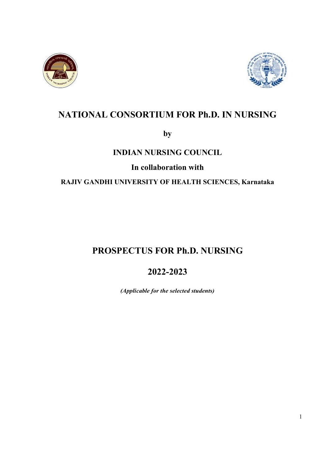



# NATIONAL CONSORTIUM FOR Ph.D. IN NURSING

by

## INDIAN NURSING COUNCIL

In collaboration with

RAJIV GANDHI UNIVERSITY OF HEALTH SCIENCES, Karnataka

# PROSPECTUS FOR Ph.D. NURSING

2022-2023

(Applicable for the selected students)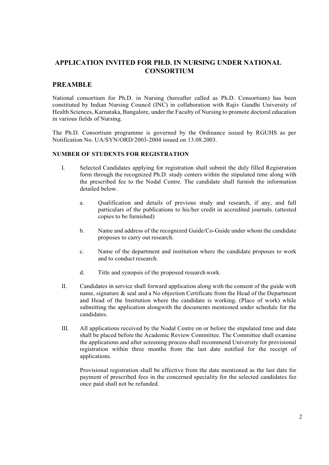### APPLICATION INVITED FOR PH.D. IN NURSING UNDER NATIONAL **CONSORTIUM**

### PREAMBLE

National consortium for Ph.D. in Nursing (hereafter called as Ph.D. Consortium) has been constituted by Indian Nursing Council (INC) in collaboration with Rajiv Gandhi University of Health Sciences, Karnataka, Bangalore, under the Faculty of Nursing to promote doctoral education in various fields of Nursing.

The Ph.D. Consortium programme is governed by the Ordinance issued by RGUHS as per Notification No. UA/SYN/ORD/2003-2004 issued on 13.08.2003.

### NUMBER OF STUDENTS FOR REGISTRATION

- I. Selected Candidates applying for registration shall submit the duly filled Registration form through the recognized Ph.D. study centers within the stipulated time along with the prescribed fee to the Nodal Centre. The candidate shall furnish the information detailed below.
	- a. Qualification and details of previous study and research, if any, and full particulars of the publications to his/her credit in accredited journals. (attested copies to be furnished)
	- b. Name and address of the recognized Guide/Co-Guide under whom the candidate proposes to carry out research.
	- c. Name of the department and institution where the candidate proposes to work and to conduct research.
	- d. Title and synopsis of the proposed research work.
- II. Candidates in service shall forward application along with the consent of the guide with name, signature & seal and a No objection Certificate from the Head of the Department and Head of the Institution where the candidate is working. (Place of work) while submitting the application alongwith the documents mentioned under schedule for the candidates.
- III. All applications received by the Nodal Centre on or before the stipulated time and date shall be placed before the Academic Review Committee. The Committee shall examine the applications and after screening process shall recommend University for provisional registration within three months from the last date notified for the receipt of applications.

Provisional registration shall be effective from the date mentioned as the last date for payment of prescribed fees in the concerned speciality for the selected candidates fee once paid shall not be refunded.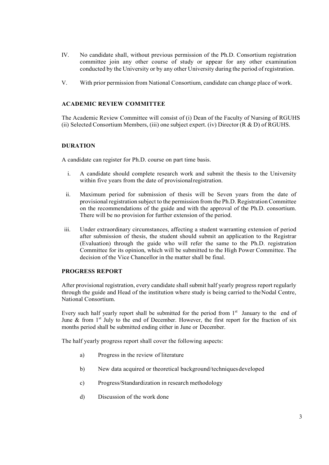- IV. No candidate shall, without previous permission of the Ph.D. Consortium registration committee join any other course of study or appear for any other examination conducted by the University or by any other University during the period of registration.
- V. With prior permission from National Consortium, candidate can change place of work.

### ACADEMIC REVIEW COMMITTEE

The Academic Review Committee will consist of (i) Dean of the Faculty of Nursing of RGUHS (ii) Selected Consortium Members, (iii) one subject expert. (iv) Director  $(R & D)$  of RGUHS.

### DURATION

A candidate can register for Ph.D. course on part time basis.

- i. A candidate should complete research work and submit the thesis to the University within five years from the date of provisional registration.
- ii. Maximum period for submission of thesis will be Seven years from the date of provisional registration subject to the permission from the Ph.D. Registration Committee on the recommendations of the guide and with the approval of the Ph.D. consortium. There will be no provision for further extension of the period.
- iii. Under extraordinary circumstances, affecting a student warranting extension of period after submission of thesis, the student should submit an application to the Registrar (Evaluation) through the guide who will refer the same to the Ph.D. registration Committee for its opinion, which will be submitted to the High Power Committee. The decision of the Vice Chancellor in the matter shall be final.

### PROGRESS REPORT

After provisional registration, every candidate shall submit half yearly progress report regularly through the guide and Head of the institution where study is being carried to the Nodal Centre, National Consortium.

Every such half yearly report shall be submitted for the period from  $1<sup>st</sup>$  January to the end of June & from 1<sup>st</sup> July to the end of December. However, the first report for the fraction of six months period shall be submitted ending either in June or December.

The half yearly progress report shall cover the following aspects:

- a) Progress in the review of literature
- b) New data acquired or theoretical background/techniques developed
- c) Progress/Standardization in research methodology
- d) Discussion of the work done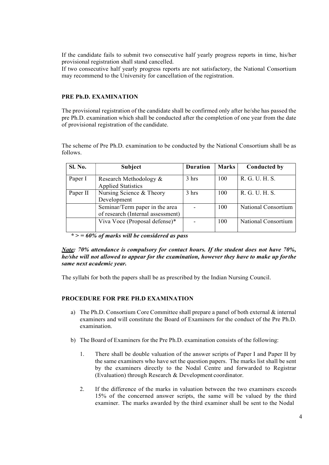If the candidate fails to submit two consecutive half yearly progress reports in time, his/her provisional registration shall stand cancelled.

If two consecutive half yearly progress reports are not satisfactory, the National Consortium may recommend to the University for cancellation of the registration.

### PRE Ph.D. EXAMINATION

The provisional registration of the candidate shall be confirmed only after he/she has passed the pre Ph.D. examination which shall be conducted after the completion of one year from the date of provisional registration of the candidate.

The scheme of Pre Ph.D. examination to be conducted by the National Consortium shall be as follows.

| Sl. No.  | Subject                                                             | <b>Duration</b>          | <b>Marks</b> | <b>Conducted by</b> |
|----------|---------------------------------------------------------------------|--------------------------|--------------|---------------------|
| Paper I  | Research Methodology &<br><b>Applied Statistics</b>                 | 3 hrs                    | 100          | R. G. U. H. S.      |
| Paper II | Nursing Science & Theory<br>Development                             | 3 hrs                    | 100          | R. G. U. H. S.      |
|          | Seminar/Term paper in the area<br>of research (Internal assessment) | $\overline{\phantom{a}}$ | 100          | National Consortium |
|          | Viva Voce (Proposal defense)*                                       |                          | 100          | National Consortium |

 $*$  > = 60% of marks will be considered as pass

Note: 70% attendance is compulsory for contact hours. If the student does not have 70%, he/she will not allowed to appear for the examination, however they have to make up forthe same next academic year.

The syllabi for both the papers shall be as prescribed by the Indian Nursing Council.

### PROCEDURE FOR PRE PH.D EXAMINATION

- a) The Ph.D. Consortium Core Committee shall prepare a panel of both external & internal examiners and will constitute the Board of Examiners for the conduct of the Pre Ph.D. examination.
- b) The Board of Examiners for the Pre Ph.D. examination consists of the following:
	- 1. There shall be double valuation of the answer scripts of Paper I and Paper II by the same examiners who have set the question papers. The marks list shall be sent by the examiners directly to the Nodal Centre and forwarded to Registrar (Evaluation) through Research & Development coordinator.
	- 2. If the difference of the marks in valuation between the two examiners exceeds 15% of the concerned answer scripts, the same will be valued by the third examiner. The marks awarded by the third examiner shall be sent to the Nodal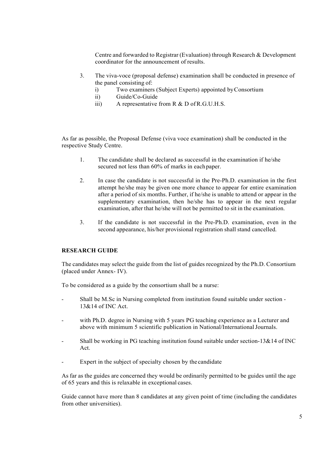Centre and forwarded to Registrar (Evaluation) through Research & Development coordinator for the announcement of results.

- 3. The viva-voce (proposal defense) examination shall be conducted in presence of the panel consisting of:
	- i) Two examiners (Subject Experts) appointed by Consortium
	- ii) Guide/Co-Guide
	- iii) A representative from R & D of R.G.U.H.S.

As far as possible, the Proposal Defense (viva voce examination) shall be conducted in the respective Study Centre.

- 1. The candidate shall be declared as successful in the examination if he/she secured not less than 60% of marks in each paper.
- 2. In case the candidate is not successful in the Pre-Ph.D. examination in the first attempt he/she may be given one more chance to appear for entire examination after a period of six months. Further, if he/she is unable to attend or appear in the supplementary examination, then he/she has to appear in the next regular examination, after that he/she will not be permitted to sit in the examination.
- 3. If the candidate is not successful in the Pre-Ph.D. examination, even in the second appearance, his/her provisional registration shall stand cancelled.

### RESEARCH GUIDE

The candidates may select the guide from the list of guides recognized by the Ph.D. Consortium (placed under Annex- IV).

To be considered as a guide by the consortium shall be a nurse:

- Shall be M.Sc in Nursing completed from institution found suitable under section 13&14 of INC Act.
- with Ph.D. degree in Nursing with 5 years PG teaching experience as a Lecturer and above with minimum 5 scientific publication in National/International Journals.
- Shall be working in PG teaching institution found suitable under section-13&14 of INC Act.
- Expert in the subject of specialty chosen by the candidate

As far as the guides are concerned they would be ordinarily permitted to be guides until the age of 65 years and this is relaxable in exceptional cases.

Guide cannot have more than 8 candidates at any given point of time (including the candidates from other universities).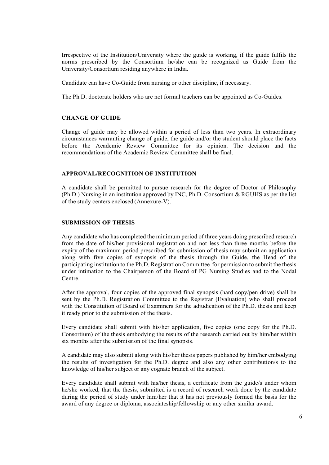Irrespective of the Institution/University where the guide is working, if the guide fulfils the norms prescribed by the Consortium he/she can be recognized as Guide from the University/Consortium residing anywhere in India.

Candidate can have Co-Guide from nursing or other discipline, if necessary.

The Ph.D. doctorate holders who are not formal teachers can be appointed as Co-Guides.

#### CHANGE OF GUIDE

Change of guide may be allowed within a period of less than two years. In extraordinary circumstances warranting change of guide, the guide and/or the student should place the facts before the Academic Review Committee for its opinion. The decision and the recommendations of the Academic Review Committee shall be final.

#### APPROVAL/RECOGNITION OF INSTITUTION

A candidate shall be permitted to pursue research for the degree of Doctor of Philosophy (Ph.D.) Nursing in an institution approved by INC, Ph.D. Consortium & RGUHS as per the list of the study centers enclosed (Annexure-V).

### SUBMISSION OF THESIS

Any candidate who has completed the minimum period of three years doing prescribed research from the date of his/her provisional registration and not less than three months before the expiry of the maximum period prescribed for submission of thesis may submit an application along with five copies of synopsis of the thesis through the Guide, the Head of the participating institution to the Ph.D. Registration Committee for permission to submit the thesis under intimation to the Chairperson of the Board of PG Nursing Studies and to the Nodal Centre.

After the approval, four copies of the approved final synopsis (hard copy/pen drive) shall be sent by the Ph.D. Registration Committee to the Registrar (Evaluation) who shall proceed with the Constitution of Board of Examiners for the adjudication of the Ph.D. thesis and keep it ready prior to the submission of the thesis.

Every candidate shall submit with his/her application, five copies (one copy for the Ph.D. Consortium) of the thesis embodying the results of the research carried out by him/her within six months after the submission of the final synopsis.

A candidate may also submit along with his/her thesis papers published by him/her embodying the results of investigation for the Ph.D. degree and also any other contribution/s to the knowledge of his/her subject or any cognate branch of the subject.

Every candidate shall submit with his/her thesis, a certificate from the guide/s under whom he/she worked, that the thesis, submitted is a record of research work done by the candidate during the period of study under him/her that it has not previously formed the basis for the award of any degree or diploma, associateship/fellowship or any other similar award.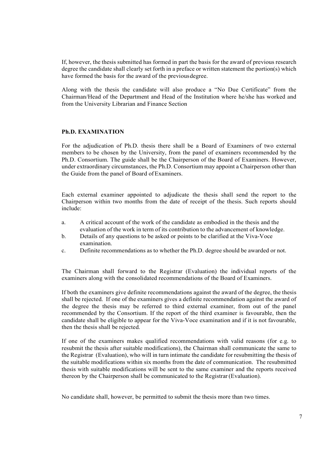If, however, the thesis submitted has formed in part the basis for the award of previous research degree the candidate shall clearly set forth in a preface or written statement the portion(s) which have formed the basis for the award of the previous degree.

Along with the thesis the candidate will also produce a "No Due Certificate" from the Chairman/Head of the Department and Head of the Institution where he/she has worked and from the University Librarian and Finance Section

#### Ph.D. EXAMINATION

For the adjudication of Ph.D. thesis there shall be a Board of Examiners of two external members to be chosen by the University, from the panel of examiners recommended by the Ph.D. Consortium. The guide shall be the Chairperson of the Board of Examiners. However, under extraordinary circumstances, the Ph.D. Consortium may appoint a Chairperson other than the Guide from the panel of Board of Examiners.

Each external examiner appointed to adjudicate the thesis shall send the report to the Chairperson within two months from the date of receipt of the thesis. Such reports should include:

- a. A critical account of the work of the candidate as embodied in the thesis and the evaluation of the work in term of its contribution to the advancement of knowledge.
- b. Details of any questions to be asked or points to be clarified at the Viva-Voce examination.
- c. Definite recommendations as to whether the Ph.D. degree should be awarded or not.

The Chairman shall forward to the Registrar (Evaluation) the individual reports of the examiners along with the consolidated recommendations of the Board of Examiners.

If both the examiners give definite recommendations against the award of the degree, the thesis shall be rejected. If one of the examiners gives a definite recommendation against the award of the degree the thesis may be referred to third external examiner, from out of the panel recommended by the Consortium. If the report of the third examiner is favourable, then the candidate shall be eligible to appear for the Viva-Voce examination and if it is not favourable, then the thesis shall be rejected.

If one of the examiners makes qualified recommendations with valid reasons (for e.g. to resubmit the thesis after suitable modifications), the Chairman shall communicate the same to the Registrar (Evaluation), who will in turn intimate the candidate for resubmitting the thesis of the suitable modifications within six months from the date of communication. The resubmitted thesis with suitable modifications will be sent to the same examiner and the reports received thereon by the Chairperson shall be communicated to the Registrar (Evaluation).

No candidate shall, however, be permitted to submit the thesis more than two times.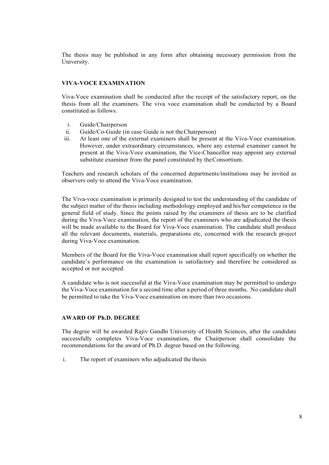The thesis may be published in any form after obtaining necessary permission from the University.

### VIVA-VOCE EXAMINATION

Viva-Voce examination shall be conducted after the receipt of the satisfactory report, on the thesis from all the examiners. The viva voce examination shall be conducted by a Board constituted as follows.

- i. Guide/Chairperson
- ii. Guide/Co-Guide (in case Guide is not the Chairperson)
- iii. At least one of the external examiners shall be present at the Viva-Voce examination. However, under extraordinary circumstances, where any external examiner cannot be present at the Viva-Voce examination, the Vice-Chancellor may appoint any external substitute examiner from the panel constituted by the Consortium.

Teachers and research scholars of the concerned departments/institutions may be invited as observers only to attend the Viva-Voce examination.

The Viva-voce examination is primarily designed to test the understanding of the candidate of the subject matter of the thesis including methodology employed and his/her competence in the general field of study. Since the points raised by the examiners of thesis are to be clarified during the Viva-Voce examination, the report of the examiners who are adjudicated the thesis will be made available to the Board for Viva-Voce examination. The candidate shall produce all the relevant documents, materials, preparations etc, concerned with the research project during Viva-Voce examination.

Members of the Board for the Viva-Voce examination shall report specifically on whether the candidate's performance on the examination is satisfactory and therefore be considered as accepted or nor accepted.

A candidate who is not successful at the Viva-Voce examination may be permitted to undergo the Viva-Voce examination for a second time after a period of three months. No candidate shall be permitted to take the Viva-Voce examination on more than two occasions.

### AWARD OF Ph.D. DEGREE

The degree will be awarded Rajiv Gandhi University of Health Sciences, after the candidate successfully completes Viva-Voce examination, the Chairperson shall consolidate the recommendations for the award of Ph.D. degree based on the following.

i. The report of examiners who adjudicated the thesis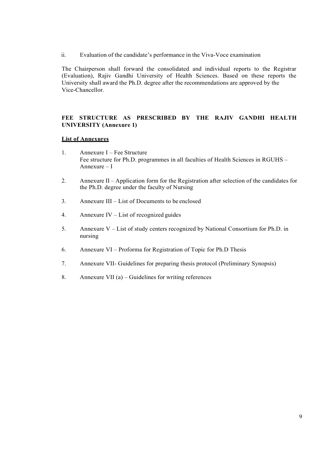ii. Evaluation of the candidate's performance in the Viva-Voce examination

The Chairperson shall forward the consolidated and individual reports to the Registrar (Evaluation), Rajiv Gandhi University of Health Sciences. Based on these reports the University shall award the Ph.D. degree after the recommendations are approved by the Vice-Chancellor.

### FEE STRUCTURE AS PRESCRIBED BY THE RAJIV GANDHI HEALTH UNIVERSITY (Annexure 1)

### List of Annexures

- 1. Annexure I Fee Structure Fee structure for Ph.D. programmes in all faculties of Health Sciences in RGUHS – Annexure – I
- 2. Annexure II Application form for the Registration after selection of the candidates for the Ph.D. degree under the faculty of Nursing
- 3. Annexure III List of Documents to be enclosed
- 4. Annexure IV List of recognized guides
- 5. Annexure V List of study centers recognized by National Consortium for Ph.D. in nursing
- 6. Annexure VI Proforma for Registration of Topic for Ph.D Thesis
- 7. Annexure VII- Guidelines for preparing thesis protocol (Preliminary Synopsis)
- 8. Annexure VII (a) Guidelines for writing references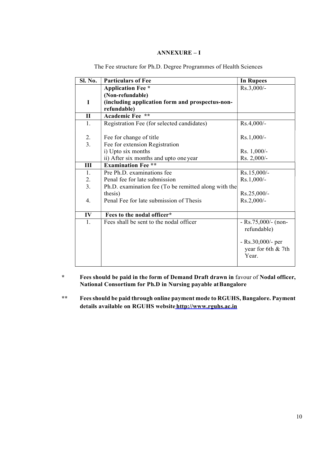### ANNEXURE – I

| Sl. No.          | <b>Particulars of Fee</b>                            | <b>In Rupees</b>    |
|------------------|------------------------------------------------------|---------------------|
|                  | <b>Application Fee</b> *                             | Rs.3,000/-          |
|                  | (Non-refundable)                                     |                     |
| $\bf{I}$         | (including application form and prospectus-non-      |                     |
|                  | refundable)                                          |                     |
| $\mathbf{I}$     | Academic Fee **                                      |                     |
| 1.               | Registration Fee (for selected candidates)           | Rs.4,000/-          |
|                  |                                                      |                     |
| 2.               | Fee for change of title                              | $Rs.1,000/-$        |
| $\overline{3}$ . | Fee for extension Registration                       |                     |
|                  | i) Upto six months                                   | Rs. 1,000/-         |
|                  | ii) After six months and upto one year               | Rs. 2,000/-         |
| III              | <b>Examination Fee **</b>                            |                     |
| 1.               | Pre Ph.D. examinations fee                           | Rs.15,000/-         |
| 2.               | Penal fee for late submission                        | $Rs.1,000/-$        |
| 3.               | Ph.D. examination fee (To be remitted along with the |                     |
|                  | thesis)                                              | Rs.25,000/-         |
| 4.               | Penal Fee for late submission of Thesis              | Rs.2,000/-          |
|                  |                                                      |                     |
| IV               | Fees to the nodal officer*                           |                     |
| 1.               | Fees shall be sent to the nodal officer              | $-Rs.75,000/-(non-$ |
|                  |                                                      | refundable)         |
|                  |                                                      |                     |
|                  |                                                      | $-Rs.30,000/-$ per  |
|                  |                                                      | year for 6th & 7th  |
|                  |                                                      | Year.               |
|                  |                                                      |                     |

The Fee structure for Ph.D. Degree Programmes of Health Sciences

\* Fees should be paid in the form of Demand Draft drawn in favour of Nodal officer, National Consortium for Ph.D in Nursing payable at Bangalore

\*\* Fees should be paid through online payment mode to RGUHS, Bangalore. Payment details available on RGUHS website http://www.rguhs.ac.in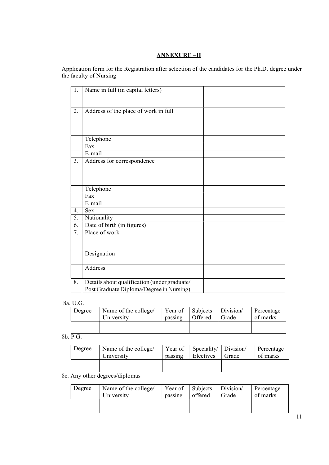### ANNEXURE –II

Application form for the Registration after selection of the candidates for the Ph.D. degree under the faculty of Nursing

| 1. | Name in full (in capital letters)            |  |
|----|----------------------------------------------|--|
|    |                                              |  |
| 2. | Address of the place of work in full         |  |
|    |                                              |  |
|    |                                              |  |
|    | Telephone                                    |  |
|    | Fax                                          |  |
|    | E-mail                                       |  |
| 3. | Address for correspondence                   |  |
|    |                                              |  |
|    |                                              |  |
|    | Telephone                                    |  |
|    | Fax                                          |  |
|    | E-mail                                       |  |
| 4. | <b>Sex</b>                                   |  |
| 5. | Nationality                                  |  |
| 6. | Date of birth (in figures)                   |  |
| 7. | Place of work                                |  |
|    |                                              |  |
|    |                                              |  |
|    | Designation                                  |  |
|    |                                              |  |
|    | Address                                      |  |
|    |                                              |  |
| 8. | Details about qualification (under graduate/ |  |
|    | Post Graduate Diploma/Degree in Nursing)     |  |

#### 8a. U.G.

| Degree | Name of the college/ | Year of | Subjects | Division/ | Percentage |
|--------|----------------------|---------|----------|-----------|------------|
|        | University           | passing | Offered  | Grade     | of marks   |
|        |                      |         |          |           |            |
|        |                      |         |          |           |            |

### 8b. P.G.

| Degree | Name of the college/<br>University | Year of<br>passing | Speciality/<br>Electives | Division/<br>Grade | Percentage<br>of marks |
|--------|------------------------------------|--------------------|--------------------------|--------------------|------------------------|
|        |                                    |                    |                          |                    |                        |

### 8c. Any other degrees/diplomas

| Degree | Name of the college/<br>University | passing | Year of Subjects Division<br>offered | Grade | Percentage<br>of marks |
|--------|------------------------------------|---------|--------------------------------------|-------|------------------------|
|        |                                    |         |                                      |       |                        |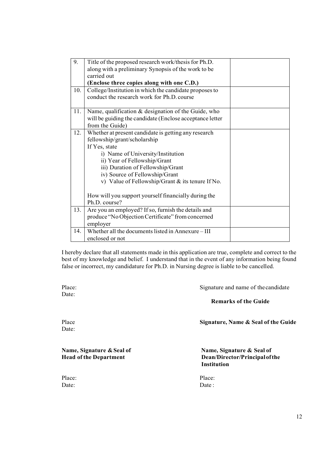| 9.  | Title of the proposed research work/thesis for Ph.D.                  |  |
|-----|-----------------------------------------------------------------------|--|
|     | along with a preliminary Synopsis of the work to be                   |  |
|     | carried out                                                           |  |
|     | (Enclose three copies along with one C.D.)                            |  |
| 10. | College/Institution in which the candidate proposes to                |  |
|     | conduct the research work for Ph.D. course                            |  |
|     |                                                                       |  |
| 11. | Name, qualification & designation of the Guide, who                   |  |
|     | will be guiding the candidate (Enclose acceptance letter              |  |
|     | from the Guide)                                                       |  |
| 12. | Whether at present candidate is getting any research                  |  |
|     | fellowship/grant/scholarship                                          |  |
|     | If Yes, state                                                         |  |
|     | i) Name of University/Institution                                     |  |
|     | ii) Year of Fellowship/Grant                                          |  |
|     | iii) Duration of Fellowship/Grant                                     |  |
|     | iv) Source of Fellowship/Grant                                        |  |
|     | v) Value of Fellowship/Grant & its tenure If No.                      |  |
|     |                                                                       |  |
|     | How will you support yourself financially during the<br>Ph.D. course? |  |
|     |                                                                       |  |
| 13. | Are you an employed? If so, furnish the details and                   |  |
|     | produce "No Objection Certificate" from concerned                     |  |
|     | employer                                                              |  |
| 14. | Whether all the documents listed in Annexure - III<br>enclosed or not |  |
|     |                                                                       |  |

I hereby declare that all statements made in this application are true, complete and correct to the best of my knowledge and belief. I understand that in the event of any information being found false or incorrect, my candidature for Ph.D. in Nursing degree is liable to be cancelled.

Place: Signature and name of the candidate Remarks of the Guide Place Signature, Name & Seal of the Guide Name, Signature & Seal of Name, Signature & Seal of Head of the Department Dean/Director/Principal of the Institution Place: Place: Date: Date:

Date:

Date:

12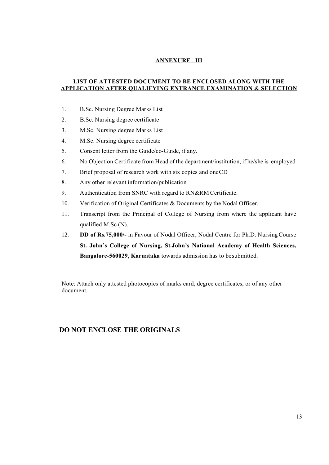### ANNEXURE –III

### LIST OF ATTESTED DOCUMENT TO BE ENCLOSED ALONG WITH THE APPLICATION AFTER QUALIFYING ENTRANCE EXAMINATION & SELECTION

- 1. B.Sc. Nursing Degree Marks List
- 2. B.Sc. Nursing degree certificate
- 3. M.Sc. Nursing degree Marks List
- 4. M.Sc. Nursing degree certificate
- 5. Consent letter from the Guide/co-Guide, if any.
- 6. No Objection Certificate from Head of the department/institution, if he/she is employed
- 7. Brief proposal of research work with six copies and one CD
- 8. Any other relevant information/publication
- 9. Authentication from SNRC with regard to RN&RM Certificate.
- 10. Verification of Original Certificates & Documents by the Nodal Officer.
- 11. Transcript from the Principal of College of Nursing from where the applicant have qualified M.Sc (N).
- 12. DD of Rs.75,000/- in Favour of Nodal Officer, Nodal Centre for Ph.D. Nursing Course St. John's College of Nursing, St.John's National Academy of Health Sciences, Bangalore-560029, Karnataka towards admission has to be submitted.

Note: Attach only attested photocopies of marks card, degree certificates, or of any other document.

### DO NOT ENCLOSE THE ORIGINALS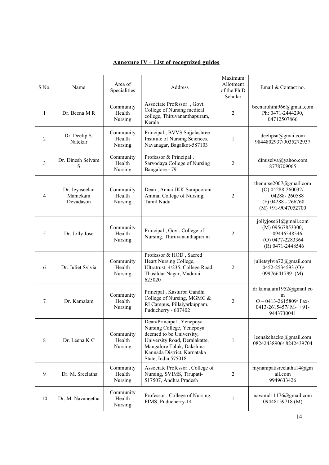| $S$ No.        | Name                                    | Area of<br>Specialities        | Address                                                                                                                                                                                               | Maximum<br>Allotment<br>of the Ph.D<br>Scholar | Email & Contact no.                                                                                           |
|----------------|-----------------------------------------|--------------------------------|-------------------------------------------------------------------------------------------------------------------------------------------------------------------------------------------------------|------------------------------------------------|---------------------------------------------------------------------------------------------------------------|
| $\mathbf{1}$   | Dr. Beena M R                           | Community<br>Health<br>Nursing | Associate Professor, Govt.<br>College of Nursing medical<br>college, Thiruvananthapuram,<br>Kerala                                                                                                    | 2                                              | beenarohini966@gmail.com<br>Ph: 0471-2444290,<br>04712507866                                                  |
| $\overline{2}$ | Dr. Deelip S.<br>Natekar                | Community<br>Health<br>Nursing | Principal, BVVS Sajjalashree<br>Institute of Nursing Sciences,<br>Navanagar, Bagalkot-587103                                                                                                          | 1                                              | deelipsn@gmai.com<br>9844802937/9035272937                                                                    |
| 3              | Dr. Dinesh Selvam<br>S                  | Community<br>Health<br>Nursing | Professor & Principal,<br>Sarvodaya College of Nursing<br>Bangalore - 79                                                                                                                              | 2                                              | dinuselva@yahoo.com<br>8778709065                                                                             |
| 4              | Dr. Jeyaseelan<br>Manickam<br>Devadason | Community<br>Health<br>Nursing | Dean, Annai JKK Sampoorani<br>Ammal College of Nursing,<br>Tamil Nadu                                                                                                                                 | 2                                              | thenurse2007@gmail.com<br>$(O)$ 04288-260032/<br>04288-260588<br>$(F)$ 04288 - 266760<br>$(M) +91-9047052700$ |
| 5              | Dr. Jolly Jose                          | Community<br>Health<br>Nursing | Principal, Govt. College of<br>Nursing, Thiruvananthapuram                                                                                                                                            | 2                                              | jollyjose61@gmail.com<br>(M) 09567853300,<br>09446548546<br>$(O)$ 0477-2283364<br>(R) 0471-2448546            |
| 6              | Dr. Juliet Sylvia                       | Community<br>Health<br>Nursing | Professor & HOD, Sacred<br>Heart Nursing College,<br>Ultratrust, 4/235, College Road,<br>Thasildar Nagar, Madurai -<br>625020                                                                         | 2                                              | julietsylvia72@gmail.com<br>0452-2534593 (O)/<br>09976641799 (M)                                              |
| 7              | Dr. Kamalam                             | Community<br>Health<br>Nursing | Principal, Kasturba Gandhi<br>College of Nursing, MGMC &<br>RI Campus, Pillaiyarkuppam,<br>Puducherry - 607402                                                                                        | $\overline{2}$                                 | dr.kamalam1952@gmail.co<br>m<br>$O - 0413 - 2615809$ /Fax-<br>$0413 - 2615457/M - +91$<br>9443730041          |
| 8              | Dr. Leena K C                           | Community<br>Health<br>Nursing | Dean/Principal, Yenepoya<br>Nursing College, Yenepoya<br>deemed to be University,<br>University Road, Deralakatte,<br>Mangalore Taluk, Dakshina<br>Kannada District, Karnataka<br>State, India 575018 | 1                                              | leenakchacko@gmail.com<br>08242438906/8242439704                                                              |
| 9              | Dr. M. Sreelatha                        | Community<br>Health<br>Nursing | Associate Professor, College of<br>Nursing, SVIMS, Tirupati-<br>517507, Andhra Pradesh                                                                                                                | 2                                              | mynampatisreelatha14@gm<br>ail.com<br>9949633426                                                              |
| 10             | Dr. M. Navaneetha                       | Community<br>Health<br>Nursing | Professor, College of Nursing,<br>PIMS, Puducherry-14                                                                                                                                                 | 1                                              | navamd11176@gmail.com<br>09448159718 (M)                                                                      |

### Annexure IV – List of recognized guides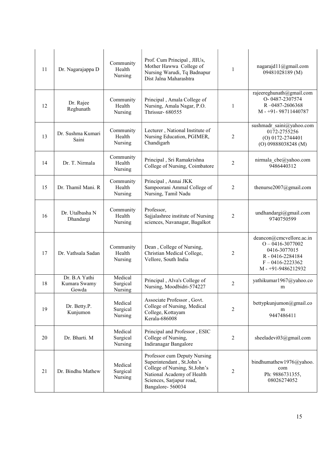| 11 | Dr. Nagarajappa D                      | Community<br>Health<br>Nursing | Prof. Cum Principal, JIIUs,<br>Mother Hawwa College of<br>Nursing Warudi, Tq Badnapur<br>Dist Jalna Maharashtra                                                          | $\mathbf{1}$   | nagarajd11@gmail.com<br>09481028189 (M)                                                                                        |
|----|----------------------------------------|--------------------------------|--------------------------------------------------------------------------------------------------------------------------------------------------------------------------|----------------|--------------------------------------------------------------------------------------------------------------------------------|
| 12 | Dr. Rajee<br>Reghunath                 | Community<br>Health<br>Nursing | Principal, Amala College of<br>Nursing, Amala Nagar, P.O.<br><b>Thrissur-680555</b>                                                                                      | 1              | rajeereghunath@gmail.com<br>O-0487-2307574<br>R-0487-2606368<br>$M - +91 - 98711440787$                                        |
| 13 | Dr. Sushma Kumari<br>Saini             | Community<br>Health<br>Nursing | Lecturer, National Institute of<br>Nursing Education, PGIMER,<br>Chandigarh                                                                                              | $\overline{2}$ | sushmadr saini@yahoo.com<br>0172-2755256<br>$(O)$ 0172-2744401<br>$(O)$ 09888038248 (M)                                        |
| 14 | Dr. T. Nirmala                         | Community<br>Health<br>Nursing | Principal, Sri Ramakrishna<br>College of Nursing, Coimbatore                                                                                                             | 2              | nirmala cbe@yahoo.com<br>9486440312                                                                                            |
| 15 | Dr. Thamil Mani. R                     | Community<br>Health<br>Nursing | Principal, Annai JKK<br>Sampoorani Ammal College of<br>Nursing, Tamil Nadu                                                                                               | 2              | thenurse2007@gmail.com                                                                                                         |
| 16 | Dr. Utalbasha N<br>Dhandargi           | Community<br>Health<br>Nursing | Professor,<br>Sajjalashree institute of Nursing<br>sciences, Navanagar, Bagalkot                                                                                         | $\overline{2}$ | undhandargi@gmail.com<br>9740750599                                                                                            |
| 17 | Dr. Vathsala Sadan                     | Community<br>Health<br>Nursing | Dean, College of Nursing,<br>Christian Medical College,<br>Vellore, South India                                                                                          | 2              | deancon@cmcvellore.ac.in<br>$O - 0416 - 3077002$<br>0416-3077015<br>R-0416-2284184<br>$F - 0416 - 2223362$<br>M-+91-9486212932 |
| 18 | Dr. B.A Yathi<br>Kumara Swamy<br>Gowda | Medical<br>Surgical<br>Nursing | Principal, Alva's College of<br>Nursing, Moodbidri-574227                                                                                                                | $\overline{2}$ | yathikumar1967@yahoo.co<br>m                                                                                                   |
| 19 | Dr. Betty.P.<br>Kunjumon               | Medical<br>Surgical<br>Nursing | Associate Professor, Govt.<br>College of Nursing, Medical<br>College, Kottayam<br>Kerala-686008                                                                          | 2              | bettypkunjumon@gmail.co<br>m<br>9447486411                                                                                     |
| 20 | Dr. Bharti. M                          | Medical<br>Surgical<br>Nursing | Principal and Professor, ESIC<br>College of Nursing,<br>Indiranagar Bangalore                                                                                            | 2              | sheeladevi $03@g$ mail.com                                                                                                     |
| 21 | Dr. Bindhu Mathew                      | Medical<br>Surgical<br>Nursing | Professor cum Deputy Nursing<br>Superintendant, St.John's<br>College of Nursing, St.John's<br>National Academy of Health<br>Sciences, Sarjapur road,<br>Bangalore-560034 | $\overline{c}$ | bindhumathew1976@yahoo.<br>com<br>Ph: 9886731355,<br>08026274052                                                               |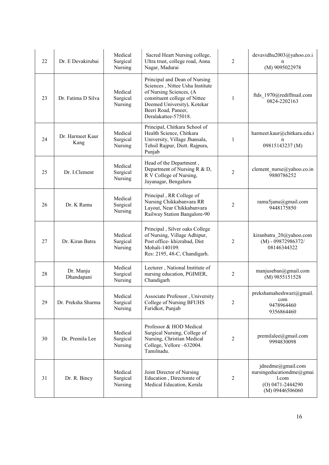| 22 | Dr. E Devakirubai        | Medical<br>Surgical<br>Nursing | Sacred Heart Nursing college,<br>Ultra trust, college road, Anna<br>Nagar, Madurai                                                                                                                         | 2              | devavidhu2003@yahoo.co.i<br>n<br>(M) 9095022978                                                   |
|----|--------------------------|--------------------------------|------------------------------------------------------------------------------------------------------------------------------------------------------------------------------------------------------------|----------------|---------------------------------------------------------------------------------------------------|
| 23 | Dr. Fatima D Silva       | Medical<br>Surgical<br>Nursing | Principal and Dean of Nursing<br>Sciences, Nittee Usha Institute<br>of Nursing Sciences, (A<br>constituent college of Nittee<br>Deemed University), Kotekar<br>Beeri Road, Paneer,<br>Deralakattee-575018. | $\mathbf{1}$   | ftds 1970@rediffmail.com<br>0824-2202163                                                          |
| 24 | Dr. Harmeet Kaur<br>Kang | Medical<br>Surgical<br>Nursing | Principal, Chitkara School of<br>Health Science, Chitkara<br>University, Village Jhansala,<br>Tehsil Rajpur, Distt. Rajpura,<br>Punjab                                                                     | $\mathbf{1}$   | harmeet.kaur@chitkara.edu.i<br>n<br>09815143237 (M)                                               |
| 25 | Dr. I.Clement            | Medical<br>Surgical<br>Nursing | Head of the Department,<br>Department of Nursing R & D,<br>R V College of Nursing,<br>Jayanagar, Bengaluru                                                                                                 | $\overline{2}$ | clement nurse@yahoo.co.in<br>9880786252                                                           |
| 26 | Dr. K Ramu               | Medical<br>Surgical<br>Nursing | Principal, RR College of<br>Nursing Chikkabanvara RR<br>Layout, Near Chikkabanvara<br>Railway Station Bangalore-90                                                                                         | 2              | ramu5janu@gmail.com<br>9448175850                                                                 |
| 27 | Dr. Kiran Batra          | Medical<br>Surgical<br>Nursing | Principal, Silver oaks College<br>of Nursing, Village Adhipur,<br>Post office- khizrabad, Dist<br>Mohali-140109.<br>Res: 2195, 48-C, Chandigarh.                                                           | 2              | kiranbatra 20@yahoo.com<br>$(M) - 09872986372/$<br>08146344322                                    |
| 28 | Dr. Manju<br>Dhandapani  | Medical<br>Surgical<br>Nursing | Lecturer, National Institute of<br>nursing education, PGIMER,<br>Chandigarh                                                                                                                                | 2              | manjuseban@gmail.com<br>(M) 9855151528                                                            |
| 29 | Dr. Preksha Sharma       | Medical<br>Surgical<br>Nursing | Associate Professor, University<br>College of Nursing BFUHS<br>Faridkot, Punjab                                                                                                                            | 2              | prekshamaheshwari@gmail.<br>com<br>9478964460<br>9356864460                                       |
| 30 | Dr. Premila Lee          | Medical<br>Surgical<br>Nursing | Professor & HOD Medical<br>Surgical Nursing, College of<br>Nursing, Christian Medical<br>College, Vellore -632004.<br>Tamilnadu.                                                                           | 2              | $premilde(\omega)$ gmail.com<br>9994830098                                                        |
| 31 | Dr. R. Bincy             | Medical<br>Surgical<br>Nursing | Joint Director of Nursing<br>Education, Directorate of<br>Medical Education, Kerala                                                                                                                        | 2              | jdnedme@gmail.com<br>nursingeducationdme@gmai<br>1.com<br>$(O)$ 0471-2444290<br>$(M)$ 09446506060 |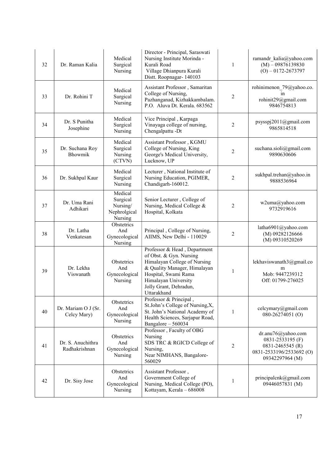| 32 | Dr. Raman Kalia                    | Medical<br>Surgical<br>Nursing                             | Director - Principal, Saraswati<br>Nursing Institute Morinda -<br>Kurali Road<br>Village Dhianpura Kurali<br>Distt. Roopnagar- 140103                                                                            | $\mathbf{1}$   | ramandr_kalia@yahoo.com<br>$(M) - 09876139830$<br>$(O) - 0172 - 2673797$                                  |
|----|------------------------------------|------------------------------------------------------------|------------------------------------------------------------------------------------------------------------------------------------------------------------------------------------------------------------------|----------------|-----------------------------------------------------------------------------------------------------------|
| 33 | Dr. Rohini T                       | Medical<br>Surgical<br>Nursing                             | Assistant Professor, Samaritan<br>College of Nursing,<br>Pazhanganad, Kizhakkambalam.<br>P.O. Aluva Dt. Kerala. 683562                                                                                           | 2              | rohinimenon 79@yahoo.co.<br>1n<br>rohinit29@gmail.com<br>9846754813                                       |
| 34 | Dr. S Punitha<br>Josephine         | Medical<br>Surgical<br>Nursing                             | Vice Principal, Karpaga<br>Vinayaga college of nursing,<br>Chengalpattu -Dt                                                                                                                                      | 2              | psysspj2011@gmail.com<br>9865814518                                                                       |
| 35 | Dr. Suchana Roy<br>Bhowmik         | Medical<br>Surgical<br>Nursing<br>(CTVN)                   | Assistant Professor, KGMU<br>College of Nursing, King<br>George's Medical University,<br>Lucknow, UP                                                                                                             | $\overline{2}$ | suchana.sioli@gmail.com<br>9890630606                                                                     |
| 36 | Dr. Sukhpal Kaur                   | Medical<br>Surgical<br>Nursing                             | Lecturer, National Institute of<br>Nursing Education, PGIMER,<br>Chandigarh-160012.                                                                                                                              | 2              | sukhpal.trehan@yahoo.in<br>9888536964                                                                     |
| 37 | Dr. Uma Rani<br>Adhikari           | Medical<br>Surgical<br>Nursing/<br>Nephrolgical<br>Nursing | Senior Lecturer, College of<br>Nursing, Medical College &<br>Hospital, Kolkata                                                                                                                                   | $\overline{c}$ | w2uma@yahoo.com<br>9732919616                                                                             |
| 38 | Dr. Latha<br>Venkatesan            | Obstetrics<br>And<br>Gynecological<br>Nursing              | Principal, College of Nursing,<br>AIIMS, New Delhi - 110029                                                                                                                                                      | 2              | latha6901@yahoo.com<br>(M) 09282126666<br>(M) 09310520269                                                 |
| 39 | Dr. Lekha<br>Viswanath             | Obstetrics<br>And<br>Gynecological<br>Nursing              | Professor & Head, Department<br>of Obst. & Gyn. Nursing<br>Himalayan College of Nursing<br>& Quality Manager, Himalayan<br>Hospital, Swami Rama<br>Himalayan University<br>Jolly Grant, Dehradun,<br>Uttarakhand | 1              | lekhaviswanath3@gmail.co<br>m<br>Mob: 9447239312<br>Off: 01799-276025                                     |
| 40 | Dr. Mariam O J (Sr.<br>Celcy Mary) | Obstetrics<br>And<br>Gynecological<br>Nursing              | Professor & Principal,<br>St.John's College of Nursing,X,<br>St. John's National Academy of<br>Health Sciences, Sarjapur Road,<br>Bangalore - 560034                                                             | 1              | celcymary@gmail.com<br>080-26274051 (O)                                                                   |
| 41 | Dr. S. Anuchithra<br>Radhakrishnan | Obstetrics<br>And<br>Gynecological<br>Nursing              | Professor, Faculty of OBG<br>Nursing<br>SDS TRC & RGICD College of<br>Nursing,<br>Near NIMHANS, Bangalore-<br>560029                                                                                             | 2              | dr.anu76@yahoo.com<br>0831-2533195 (F)<br>0831-2465545 (R)<br>0831-2533196/2533692 (O)<br>09342297964 (M) |
| 42 | Dr. Sisy Jose                      | Obstetrics<br>And<br>Gynecological<br>Nursing              | Assistant Professor,<br>Government College of<br>Nursing, Medical College (PO),<br>Kottayam, Kerala - 686008                                                                                                     | 1              | principalcnk@gmail.com<br>09446057831 (M)                                                                 |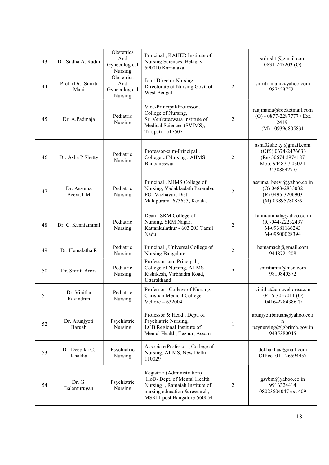| 43 | Dr. Sudha A. Raddi         | Obstetrics<br>And<br>Gynecological<br>Nursing | Principal, KAHER Institute of<br>Nursing Sciences, Belagavi -<br>590010 Karnataka                                                                          | 1              | srdrishti@gmail.com<br>0831-247203 (O)                                                                    |
|----|----------------------------|-----------------------------------------------|------------------------------------------------------------------------------------------------------------------------------------------------------------|----------------|-----------------------------------------------------------------------------------------------------------|
| 44 | Prof. (Dr.) Smriti<br>Mani | Obstetrics<br>And<br>Gynecological<br>Nursing | Joint Director Nursing,<br>Directorate of Nursing Govt. of<br>West Bengal                                                                                  | 2              | smriti_mani@yahoo.com<br>9874537521                                                                       |
| 45 | Dr. A.Padmaja              | Pediatric<br>Nursing                          | Vice-Principal/Professor,<br>College of Nursing,<br>Sri Venkateswara Institute of<br>Medical Sciences (SVIMS),<br>Tirupati - 517507                        | 2              | raajinaidu@rocketmail.com<br>(O) - 0877-2287777 / Ext.<br>2419.<br>$(M) - 09396805831$                    |
| 46 | Dr. Asha P Shetty          | Pediatric<br>Nursing                          | Professor-cum-Principal,<br>College of Nursing, AIIMS<br>Bhubaneswar                                                                                       | 2              | asha02shetty@gmail.com<br>:(Off.) 0674-2476633<br>(Res.)0674 2974187<br>Mob: 94487 7 0302 I<br>9438884270 |
| 47 | Dr. Assuma<br>Beevi.T.M    | Pediatric<br>Nursing                          | Principal, MIMS College of<br>Nursing, Vadakkedath Paramba,<br>PO- Vazhayur, Distt -<br>Malapuram- 673633, Kerala.                                         | $\overline{c}$ | assuma beevi@yahoo.co.in<br>$(O)$ 0483-2833032<br>$(R)$ 0495-3206903<br>(M)-09895780859                   |
| 48 | Dr. C. Kanniammal          | Pediatric<br>Nursing                          | Dean, SRM College of<br>Nursing, SRM Nagar,<br>Kattankulathur - 603 203 Tamil<br>Nadu                                                                      | 2              | kanniammal@yahoo.co.in<br>(R)-044-22232497<br>M-09381166243<br>M-09500028394                              |
| 49 | Dr. Hemalatha R            | Pediatric<br>Nursing                          | Principal, Universal College of<br>Nursing Bangalore                                                                                                       | $\overline{2}$ | hemamach@gmail.com<br>9448721208                                                                          |
| 50 | Dr. Smriti Arora           | Pediatric<br>Nursing                          | Professor cum Principal,<br>College of Nursing, AIIMS<br>Rishikesh, Virbhadra Road,<br>Uttarakhand                                                         | $\mathfrak{2}$ | smritiamit@msn.com<br>9810840372                                                                          |
| 51 | Dr. Vinitha<br>Ravindran   | Pediatric<br>Nursing                          | Professor, College of Nursing,<br>Christian Medical College,<br>Vellore $-632004$                                                                          |                | vinitha@cmcvellore.ac.in<br>0416-3057011 (O)<br>0416-2284386 ®                                            |
| 52 | Dr. Arunjyoti<br>Baruah    | Psychiatric<br>Nursing                        | Professor & Head, Dept. of<br>Psychiatric Nursing,<br>LGB Regional Institute of<br>Mental Health, Tezpur, Assam                                            | $\mathbf{1}$   | arunjyotibaruah@yahoo.co.i<br>psynursing@lgbrimh.gov.in<br>9435380045                                     |
| 53 | Dr. Deepika C.<br>Khakha   | Psychiatric<br>Nursing                        | Associate Professor, College of<br>Nursing, AIIMS, New Delhi -<br>110029                                                                                   | 1              | dckhakha@gmail.com<br>Office: 011-26594457                                                                |
| 54 | Dr. G.<br>Balamurugan      | Psychiatric<br>Nursing                        | Registrar (Administration)<br>HoD- Dept. of Mental Health<br>Nursing, Ramaiah Institute of<br>nursing education & research,<br>MSRIT post Bangalore-560054 | 2              | gsvbm@yahoo.co.in<br>9916324414<br>08023604047 ext 409                                                    |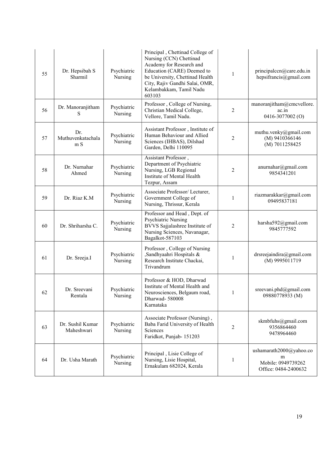| 55 | Dr. Hepsibah S<br>Sharmil       | Psychiatric<br>Nursing | Principal, Chettinad College of<br>Nursing (CCN) Chettinad<br>Academy for Research and<br>Education (CARE) Deemed to<br>be University, Chettinad Health<br>City, Rajiv Gandhi Salai, OMR,<br>Kelambakkam, Tamil Nadu<br>603103 | $\mathbf{1}$   | principalcen@care.edu.in<br>hepsifrancis@gmail.com                         |
|----|---------------------------------|------------------------|--------------------------------------------------------------------------------------------------------------------------------------------------------------------------------------------------------------------------------|----------------|----------------------------------------------------------------------------|
| 56 | Dr. Manoranjitham<br>S          | Psychiatric<br>Nursing | Professor, College of Nursing,<br>Christian Medical College,<br>Vellore, Tamil Nadu.                                                                                                                                           | 2              | manoranjitham@cmcvellore.<br>ac.in<br>0416-3077002 <sub>(O)</sub>          |
| 57 | Dr.<br>Muthuvenkatachala<br>m S | Psychiatric<br>Nursing | Assistant Professor, Institute of<br>Human Behaviour and Allied<br>Sciences (IHBAS), Dilshad<br>Garden, Delhi 110095                                                                                                           | $\overline{c}$ | muthu.venky@gmail.com<br>(M) 9410366146<br>(M) 7011258425                  |
| 58 | Dr. Nurnahar<br>Ahmed           | Psychiatric<br>Nursing | Assistant Professor,<br>Department of Psychiatric<br>Nursing, LGB Regional<br>Institute of Mental Health<br>Tezpur, Assam                                                                                                      | 2              | anurnahar@gmail.com<br>9854341201                                          |
| 59 | Dr. Riaz K.M                    | Psychiatric<br>Nursing | Associate Professor/ Lecturer,<br>Government College of<br>Nursing, Thrissur, Kerala                                                                                                                                           | $\mathbf{1}$   | riazmarakkar@gmail.com<br>09495837181                                      |
| 60 | Dr. Shriharsha C.               | Psychiatric<br>Nursing | Professor and Head, Dept. of<br>Psychiatric Nursing<br>BVVS Sajjalashree Institute of<br>Nursing Sciences, Navanagar,<br>Bagalkot-587103                                                                                       | $\overline{c}$ | harsha592@gmail.com<br>9845777592                                          |
| 61 | Dr. Sreeja.I                    | Psychiatric<br>Nursing | Professor, College of Nursing<br>,Sandhyaahri Hospitals &<br>Research Institute Chackai,<br>Trivandrum                                                                                                                         | 1              | drsreejaindira@gmail.com<br>(M) 9995011719                                 |
| 62 | Dr. Sreevani<br>Rentala         | Psychiatric<br>Nursing | Professor & HOD, Dharwad<br>Institute of Mental Health and<br>Neurosciences, Belgaum road,<br>Dharwad-580008<br>Karnataka                                                                                                      | 1              | sreevani.phd@gmail.com<br>09880778933 (M)                                  |
| 63 | Dr. Sushil Kumar<br>Maheshwari  | Psychiatric<br>Nursing | Associate Professor (Nursing),<br>Baba Farid University of Health<br>Sciences<br>Faridkot, Punjab-151203                                                                                                                       | $\overline{c}$ | skmbfuhs@gmail.com<br>9356864460<br>9478964460                             |
| 64 | Dr. Usha Marath                 | Psychiatric<br>Nursing | Principal, Lisie College of<br>Nursing, Lisie Hospital,<br>Ernakulam 682024, Kerala                                                                                                                                            | 1              | ushamarath2000@yahoo.co<br>m<br>Mobile: 0949739262<br>Office: 0484-2400632 |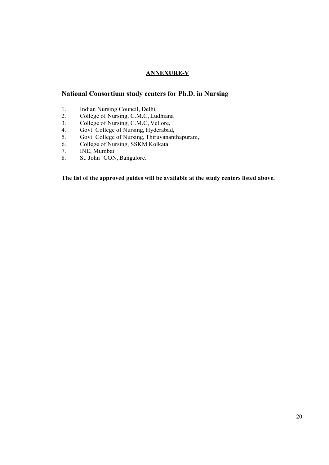### ANNEXURE-V

### National Consortium study centers for Ph.D. in Nursing

- 1. Indian Nursing Council, Delhi,
- 2. College of Nursing, C.M.C, Ludhiana
- 3. College of Nursing, C.M.C, Vellore,
- 4. Govt. College of Nursing, Hyderabad,
- 5. Govt. College of Nursing, Thiruvananthapuram,
- 6. College of Nursing, SSKM Kolkata.
- 7. INE, Mumbai
- 8. St. John' CON, Bangalore.

The list of the approved guides will be available at the study centers listed above.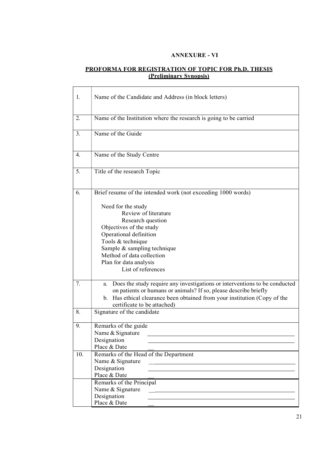### ANNEXURE - VI

### PROFORMA FOR REGISTRATION OF TOPIC FOR Ph.D. THESIS (Preliminary Synopsis)

| 2.<br>Name of the Institution where the research is going to be carried<br>Name of the Guide<br>3.<br>Name of the Study Centre<br>$\overline{4}$ .<br>Title of the research Topic<br>5.<br>Brief resume of the intended work (not exceeding 1000 words)<br>6.<br>Need for the study<br>Review of literature<br>Research question<br>Objectives of the study<br>Operational definition<br>Tools & technique<br>Sample & sampling technique<br>Method of data collection<br>Plan for data analysis<br>List of references<br>7.<br>Does the study require any investigations or interventions to be conducted<br>a.<br>on patients or humans or animals? If so, please describe briefly<br>b. Has ethical clearance been obtained from your institution (Copy of the<br>certificate to be attached)<br>8.<br>Signature of the candidate<br>Remarks of the guide<br>9.<br>Name & Signature<br>Designation<br>Place & Date<br>Remarks of the Head of the Department<br>10.<br>Name & Signature<br><u> 1989 - Jan Samuel Barbara, martin d</u><br>Designation |  |
|---------------------------------------------------------------------------------------------------------------------------------------------------------------------------------------------------------------------------------------------------------------------------------------------------------------------------------------------------------------------------------------------------------------------------------------------------------------------------------------------------------------------------------------------------------------------------------------------------------------------------------------------------------------------------------------------------------------------------------------------------------------------------------------------------------------------------------------------------------------------------------------------------------------------------------------------------------------------------------------------------------------------------------------------------------|--|
|                                                                                                                                                                                                                                                                                                                                                                                                                                                                                                                                                                                                                                                                                                                                                                                                                                                                                                                                                                                                                                                         |  |
|                                                                                                                                                                                                                                                                                                                                                                                                                                                                                                                                                                                                                                                                                                                                                                                                                                                                                                                                                                                                                                                         |  |
|                                                                                                                                                                                                                                                                                                                                                                                                                                                                                                                                                                                                                                                                                                                                                                                                                                                                                                                                                                                                                                                         |  |
|                                                                                                                                                                                                                                                                                                                                                                                                                                                                                                                                                                                                                                                                                                                                                                                                                                                                                                                                                                                                                                                         |  |
|                                                                                                                                                                                                                                                                                                                                                                                                                                                                                                                                                                                                                                                                                                                                                                                                                                                                                                                                                                                                                                                         |  |
|                                                                                                                                                                                                                                                                                                                                                                                                                                                                                                                                                                                                                                                                                                                                                                                                                                                                                                                                                                                                                                                         |  |
|                                                                                                                                                                                                                                                                                                                                                                                                                                                                                                                                                                                                                                                                                                                                                                                                                                                                                                                                                                                                                                                         |  |
|                                                                                                                                                                                                                                                                                                                                                                                                                                                                                                                                                                                                                                                                                                                                                                                                                                                                                                                                                                                                                                                         |  |
| Place & Date<br>Remarks of the Principal<br>Name & Signature<br>Designation<br>Place & Date                                                                                                                                                                                                                                                                                                                                                                                                                                                                                                                                                                                                                                                                                                                                                                                                                                                                                                                                                             |  |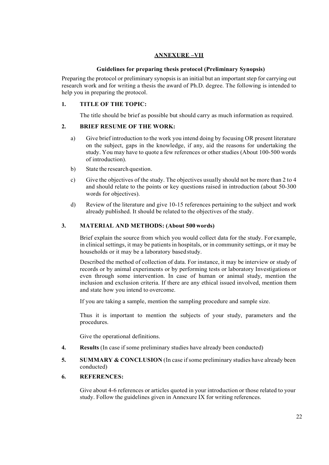### ANNEXURE –VII

### Guidelines for preparing thesis protocol (Preliminary Synopsis)

Preparing the protocol or preliminary synopsis is an initial but an important step for carrying out research work and for writing a thesis the award of Ph.D. degree. The following is intended to help you in preparing the protocol.

### 1. TITLE OF THE TOPIC:

The title should be brief as possible but should carry as much information as required.

### 2. BRIEF RESUME OF THE WORK:

- a) Give brief introduction to the work you intend doing by focusing OR present literature on the subject, gaps in the knowledge, if any, aid the reasons for undertaking the study. You may have to quote a few references or other studies (About 100-500 words of introduction).
- b) State the research question.
- c) Give the objectives of the study. The objectives usually should not be more than 2 to 4 and should relate to the points or key questions raised in introduction (about 50-300 words for objectives).
- d) Review of the literature and give 10-15 references pertaining to the subject and work already published. It should be related to the objectives of the study.

### 3. MATERIAL AND METHODS: (About 500 words)

Brief explain the source from which you would collect data for the study. For example, in clinical settings, it may be patients in hospitals, or in community settings, or it may be households or it may be a laboratory based study.

Described the method of collection of data. For instance, it may be interview or study of records or by animal experiments or by performing tests or laboratory Investigations or even through some intervention. In case of human or animal study, mention the inclusion and exclusion criteria. If there are any ethical issued involved, mention them and state how you intend to overcome.

If you are taking a sample, mention the sampling procedure and sample size.

Thus it is important to mention the subjects of your study, parameters and the procedures.

Give the operational definitions.

4. Results (In case if some preliminary studies have already been conducted)

### 5. SUMMARY & CONCLUSION (In case if some preliminary studies have already been conducted)

### 6. REFERENCES:

Give about 4-6 references or articles quoted in your introduction or those related to your study. Follow the guidelines given in Annexure IX for writing references.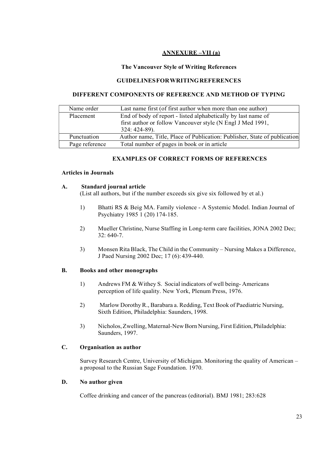### ANNEXURE –VII (a)

### The Vancouver Style of Writing References

#### GUIDELINES FOR WRITING REFERENCES

### DIFFERENT COMPONENTS OF REFERENCE AND METHOD OF TYPING

| Name order     | Last name first (of first author when more than one author)               |
|----------------|---------------------------------------------------------------------------|
| Placement      | End of body of report - listed alphabetically by last name of             |
|                | first author or follow Vancouver style (N Engl J Med 1991,                |
|                | 324: 424-89).                                                             |
| Punctuation    | Author name, Title, Place of Publication: Publisher, State of publication |
| Page reference | Total number of pages in book or in article                               |

#### EXAMPLES OF CORRECT FORMS OF REFERENCES

#### Articles in Journals

#### A. Standard journal article

(List all authors, but if the number exceeds six give six followed by et al.)

- 1) Bhatti RS & Beig MA. Family violence A Systemic Model. Indian Journal of Psychiatry 1985 1 (20) 174-185.
- 2) Mueller Christine, Nurse Staffing in Long-term care facilities, JONA 2002 Dec; 32: 640-7.
- 3) Monsen Rita Black, The Child in the Community Nursing Makes a Difference, J Paed Nursing 2002 Dec; 17 (6): 439-440.

### B. Books and other monographs

- 1) Andrews FM & Withey S. Social indicators of well being- Americans perception of life quality. New York, Plenum Press, 1976.
- 2) Marlow Dorothy R., Barabara a. Redding, Text Book of Paediatric Nursing, Sixth Edition, Philadelphia: Saunders, 1998.
- 3) Nicholos, Zwelling, Maternal-New Born Nursing, First Edition, Philadelphia: Saunders, 1997.

### C. Organisation as author

Survey Research Centre, University of Michigan. Monitoring the quality of American – a proposal to the Russian Sage Foundation. 1970.

#### D. No author given

Coffee drinking and cancer of the pancreas (editorial). BMJ 1981; 283:628